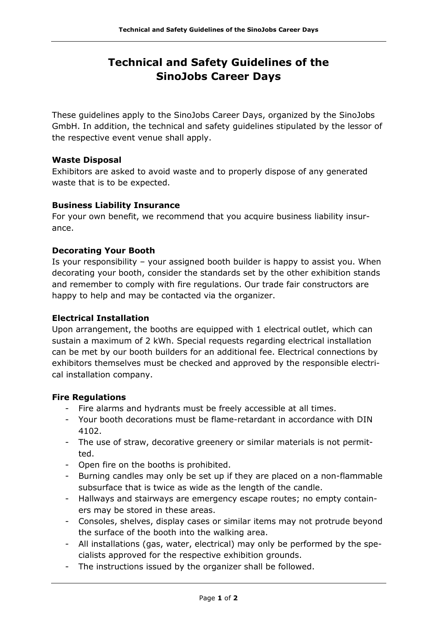# **Technical and Safety Guidelines of the SinoJobs Career Days**

These guidelines apply to the SinoJobs Career Days, organized by the SinoJobs GmbH. In addition, the technical and safety guidelines stipulated by the lessor of the respective event venue shall apply.

# **Waste Disposal**

Exhibitors are asked to avoid waste and to properly dispose of any generated waste that is to be expected.

## **Business Liability Insurance**

For your own benefit, we recommend that you acquire business liability insurance.

# **Decorating Your Booth**

Is your responsibility – your assigned booth builder is happy to assist you. When decorating your booth, consider the standards set by the other exhibition stands and remember to comply with fire regulations. Our trade fair constructors are happy to help and may be contacted via the organizer.

## **Electrical Installation**

Upon arrangement, the booths are equipped with 1 electrical outlet, which can sustain a maximum of 2 kWh. Special requests regarding electrical installation can be met by our booth builders for an additional fee. Electrical connections by exhibitors themselves must be checked and approved by the responsible electrical installation company.

## **Fire Regulations**

- Fire alarms and hydrants must be freely accessible at all times.
- Your booth decorations must be flame-retardant in accordance with DIN 4102.
- The use of straw, decorative greenery or similar materials is not permitted.
- Open fire on the booths is prohibited.
- Burning candles may only be set up if they are placed on a non-flammable subsurface that is twice as wide as the length of the candle.
- Hallways and stairways are emergency escape routes; no empty containers may be stored in these areas.
- Consoles, shelves, display cases or similar items may not protrude beyond the surface of the booth into the walking area.
- All installations (gas, water, electrical) may only be performed by the specialists approved for the respective exhibition grounds.
- The instructions issued by the organizer shall be followed.